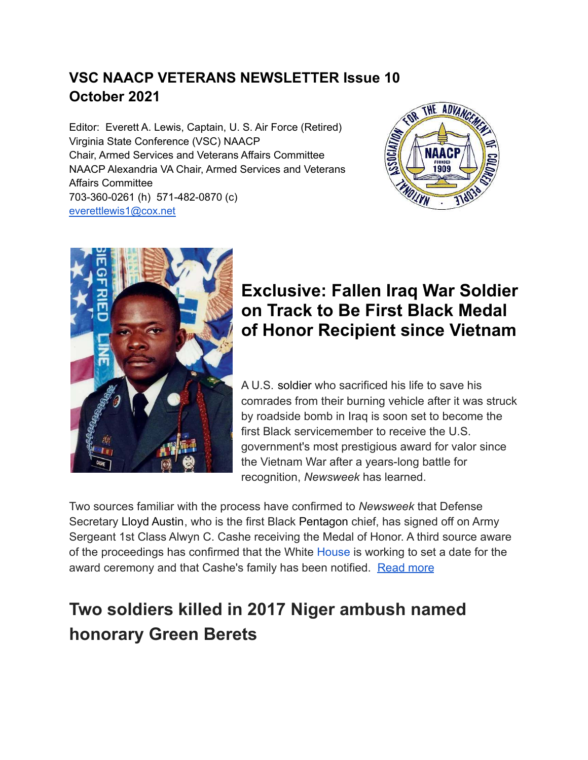#### **VSC NAACP VETERANS NEWSLETTER Issue 10 October 2021**

Editor: Everett A. Lewis, Captain, U. S. Air Force (Retired) Virginia State Conference (VSC) NAACP Chair, Armed Services and Veterans Affairs Committee NAACP Alexandria VA Chair, Armed Services and Veterans Affairs Committee 703-360-0261 (h) 571-482-0870 (c) [everettlewis1@cox.net](mailto:everettlewis1@cox.net)





### **Exclusive: Fallen Iraq War [Soldier](https://www.google.com/search?tbm=isch&q=Soldier) on Track to Be First Black Medal of Honor Recipient since Vietnam**

A U.S. [soldier](https://www.google.com/search?tbm=isch&q=soldier) who sacrificed his life to save his comrades from their burning vehicle after it was struck by roadside bomb in Iraq is soon set to become the first Black servicemember to receive the U.S. government's most prestigious award for valor since the Vietnam War after a years-long battle for recognition, *Newsweek* has learned.

Two sources familiar with the process have confirmed to *Newsweek* that Defense Secretary [Lloyd Austin](https://www.newsweek.com/topic/lloyd-austin), who is the first Black [Pentagon](https://www.newsweek.com/topic/pentagon) chief, has signed off on Army Sergeant 1st Class Alwyn C. Cashe receiving the Medal of Honor. A third source aware of the proceedings has confirmed that the White [House](https://www.google.com/search?tbm=isch&q=House) is working to set a date for the award ceremony and that Cashe's family has been notified. [Read more](https://www.newsweek.com/exclusive-fallen-iraq-war-soldier-track-first-black-medal-honor-recipient-since-vietnam-1611928?fbclid=IwAR2uyeSfzVggRroYj2AxIOd1YFyZ1NOjHCkfeq3PtnOKQX9NpStPQYYJYOc)

## **Two soldiers killed in 2017 Niger ambush named honorary Green Berets**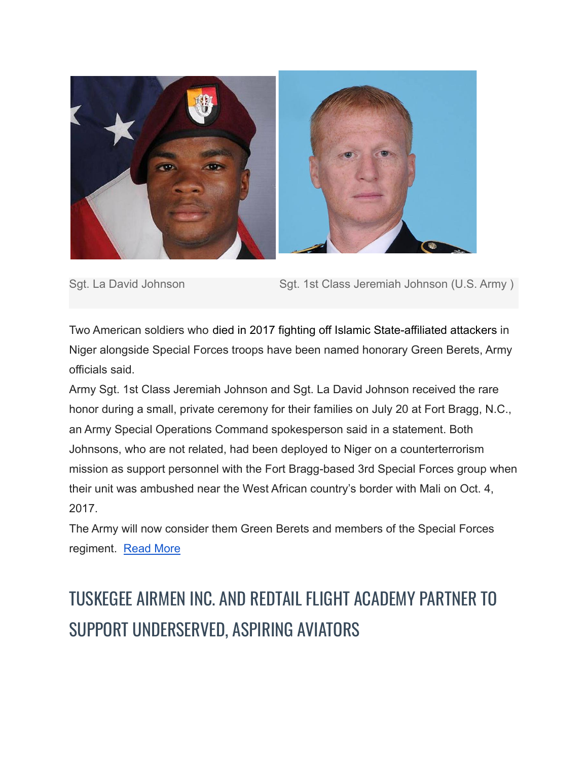

Sgt. La David Johnson Sgt. 1st Class Jeremiah Johnson (U.S. Army )

Two American soldiers who [died in 2017 fighting off Islamic State-affiliated attackers](https://www.stripes.com/theaters/middle_east/4th-american-killed-in-niger-ambush-identified-1.491507) in Niger alongside Special Forces troops have been named honorary Green Berets, Army officials said.

Army Sgt. 1st Class Jeremiah Johnson and Sgt. La David Johnson received the rare honor during a small, private ceremony for their families on July 20 at Fort Bragg, N.C., an Army Special Operations Command spokesperson said in a statement. Both Johnsons, who are not related, had been deployed to Niger on a counterterrorism mission as support personnel with the Fort Bragg-based 3rd Special Forces group when their unit was ambushed near the West African country's border with Mali on Oct. 4, 2017.

The Army will now consider them Green Berets and members of the Special Forces regiment. [Read More](https://www.stripes.com/branches/army/2021-07-22/niger-ambush-soldiers-killed-honorary-green-berets-johnson-2235296.html?utm_source=Stars+and+Stripes+Emails&utm_campaign=37e6e4f60e-Newsletter+-+Weekly&utm_medium=email&utm_term=0_0ab8697a7f-37e6e4f60e-296243673)

# TUSKEGEE AIRMEN INC. AND REDTAIL FLIGHT ACADEMY PARTNER TO SUPPORT UNDERSERVED, ASPIRING AVIATORS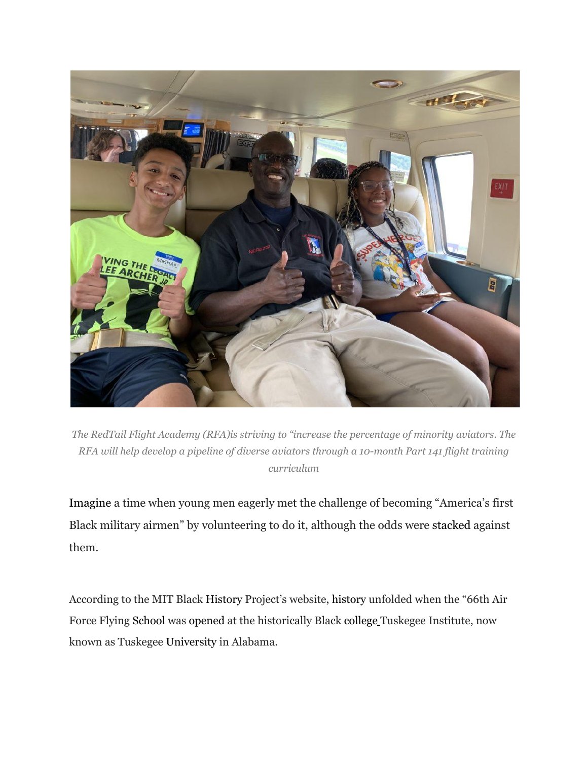

*The RedTail Flight Academy (RFA)is striving to "increase the percentage of minority aviators. The RFA will help develop a pipeline of diverse aviators through a 10-month Part 141 flight training curriculum*

[Imagine](https://www.tuskegee.edu/support-tu/tuskegee-airmen/tuskegee-airmen-facts#:~:text=The%20332nd%20Fighter%20group%20was%20awarded%20the%20Presidential,jet%20fighters%20and%20damaged%20five%20additional%20jet%20fighters) a time when young men eagerly met the challenge of becoming "America's first Black military airmen" by volunteering to do it, although the odds were [stacked](https://www.blackenterprise.com/legacy-flight-academy-pays-homage-to-tuskegee-airmen/) against them.

According to the MIT Black [History](https://www.google.com/search?tbm=isch&q=History) Project's website, [history](https://www.google.com/search?tbm=isch&q=history) unfolded when the "66th Air Force Flying [School](https://www.google.com/search?tbm=isch&q=School) was [opened](https://www.blackhistory.mit.edu/story/tuskegee-airmen) at the historically Black [college](https://www.google.com/search?tbm=isch&q=college) Tuskegee Institute, now known as Tuskegee [University](https://www.google.com/search?tbm=isch&q=University) in Alabama.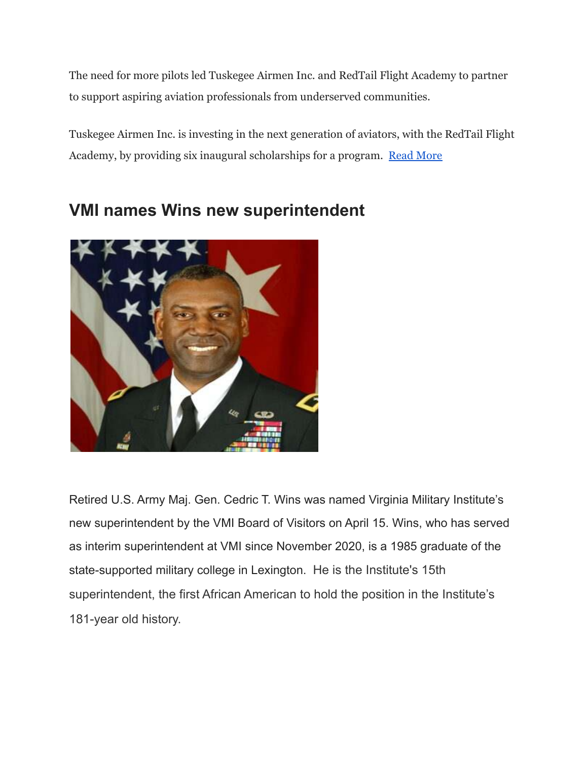The need for more pilots led Tuskegee Airmen Inc. and RedTail Flight Academy to partner to support aspiring aviation professionals from underserved communities.

Tuskegee Airmen Inc. is investing in the next generation of aviators, with the RedTail Flight Academy, by providing six inaugural scholarships for a program. [Read More](https://www.blackenterprise.com/tuskegee-airmen-inc-and-redtail-flight-academy-partner-to-support-underserved-aspiring-aviators/?utm_source=Newsletter&utm_medium=email&utm_campaign=Newsletter%207/23/2021_07/23/2021)



#### **VMI names Wins new superintendent**

Retired U.S. Army Maj. Gen. Cedric T. Wins was named Virginia Military Institute's new superintendent by the VMI Board of Visitors on April 15. Wins, who has served as interim superintendent at VMI since November 2020, is a 1985 graduate of the state-supported military college in Lexington. He is the Institute's 15th superintendent, the first African American to hold the position in the Institute's 181-year old history.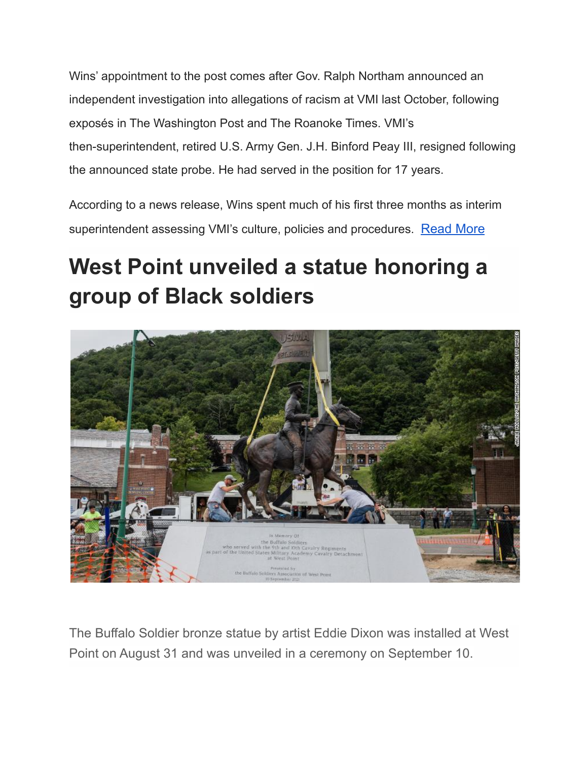Wins' appointment to the post comes after Gov. Ralph Northam announced an independent investigation into allegations of racism at VMI last October, following exposés in The Washington Post and The Roanoke Times. VMI's then-superintendent, retired U.S. Army Gen. J.H. Binford Peay III, resigned following the announced state probe. He had served in the position for 17 years.

According to a news release, Wins spent much of his first three months as interim superintendent assessing VMI's culture, policies and procedures. [Read More](https://www.virginiabusiness.com/article/vmi-names-wins-new-superintendent/)

# **West Point unveiled a statue honoring a group of Black soldiers**



The Buffalo Soldier bronze statue by artist Eddie Dixon was installed at West Point on August 31 and was unveiled in a ceremony on September 10.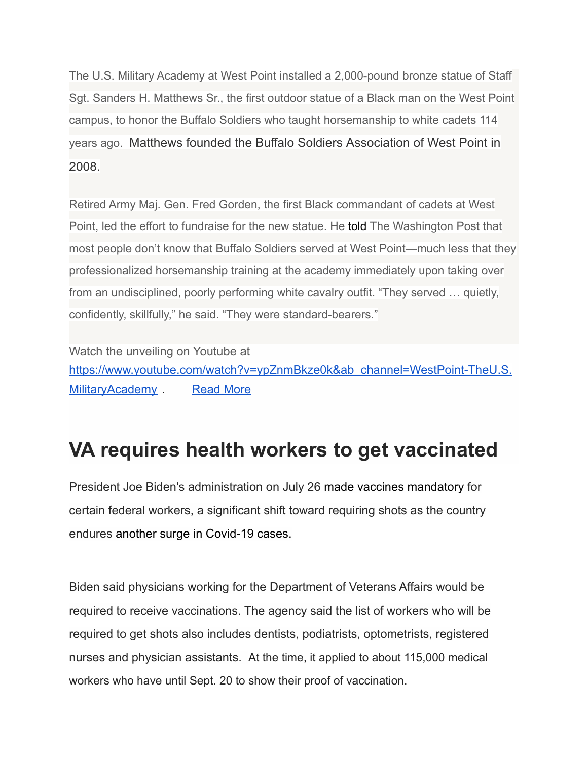The U.S. Military Academy at West Point installed a 2,000-pound bronze statue of Staff Sgt. Sanders H. Matthews Sr., the first outdoor statue of a Black man on the West Point campus, to honor the Buffalo Soldiers who taught horsemanship to white cadets 114 years ago. Matthews founded the Buffalo Soldiers Association of West Point in 2008.

Retired Army Maj. Gen. Fred Gorden, the first Black commandant of cadets at West Point, led the effort to fundraise for the new statue. He [told](https://www.washingtonpost.com/history/2021/08/31/west-point-buffalo-soldiers-statue/) The Washington Post that most people don't know that Buffalo Soldiers served at West Point—much less that they professionalized horsemanship training at the academy immediately upon taking over from an undisciplined, poorly performing white cavalry outfit. "They served … quietly, confidently, skillfully," he said. "They were standard-bearers."

Watch the unveiling on Youtube at [https://www.youtube.com/watch?v=ypZnmBkze0k&ab\\_channel=WestPoint-TheU.S.](https://www.youtube.com/watch?v=ypZnmBkze0k&ab_channel=WestPoint-TheU.S.MilitaryAcademy) [MilitaryAcademy](https://www.youtube.com/watch?v=ypZnmBkze0k&ab_channel=WestPoint-TheU.S.MilitaryAcademy) [Read More](https://eji.org/news/buffalo-soldiers-honored-at-west-point/)

### **VA requires health workers to get vaccinated**

President Joe Biden's administration on July 26 [made vaccines mandatory](https://www.cnn.com/2021/07/26/health/us-coronavirus-monday/index.html) for certain federal workers, a significant shift toward requiring shots as the country endures [another surge in Covid-19 cases.](https://www.cnn.com/2021/07/26/health/covid-19-vaccine-organ-transplant-recipients/index.html)

Biden said physicians working for the Department of Veterans Affairs would be required to receive vaccinations. The agency said the list of workers who will be required to get shots also includes dentists, podiatrists, optometrists, registered nurses and physician assistants. At the time, it applied to about 115,000 medical workers who have until Sept. 20 to show their proof of vaccination.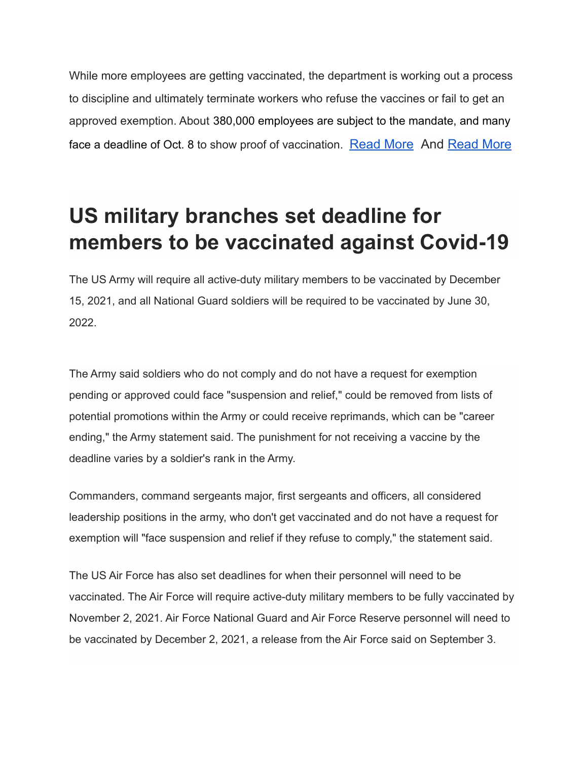While more employees are getting vaccinated, the department is working out a process to discipline and ultimately terminate workers who refuse the vaccines or fail to get an approved exemption. About [380,000 employees are subject to the mandate, and many](https://www.stripes.com/covid/2021-08-12/coronavirus-vaccine-mandate-veterans-affairs-health-care-workers-2532375.html) [face a deadline of Oct. 8](https://www.stripes.com/covid/2021-08-12/coronavirus-vaccine-mandate-veterans-affairs-health-care-workers-2532375.html) to show proof of vaccination. [Read More](https://www.cnn.com/2021/07/26/politics/veterans-affairs-requires-covid-vaccinations/index.html) And [Read More](https://www.stripes.com/veterans/2021-09-15/veterans-affairs-coronavirus-vaccine-employees-mcdonough-mandate-2902761.html)

# **US military branches set deadline for members to be vaccinated against Covid-19**

The US Army will require all active-duty military members to be vaccinated by December 15, 2021, and all National Guard soldiers will be required to be vaccinated by June 30, 2022.

The Army said soldiers who do not comply and do not have a request for exemption pending or approved could face "suspension and relief," could be removed from lists of potential promotions within the Army or could receive reprimands, which can be "career ending," the Army statement said. The punishment for not receiving a vaccine by the deadline varies by a soldier's rank in the Army.

Commanders, command sergeants major, first sergeants and officers, all considered leadership positions in the army, who don't get vaccinated and do not have a request for exemption will "face suspension and relief if they refuse to comply," the statement said.

The US Air Force has also set deadlines for when their personnel will need to be vaccinated. The Air Force will require active-duty military members to be fully vaccinated by November 2, 2021. Air Force National Guard and Air Force Reserve personnel will need to be vaccinated by December 2, 2021, a release from the Air Force said on September 3.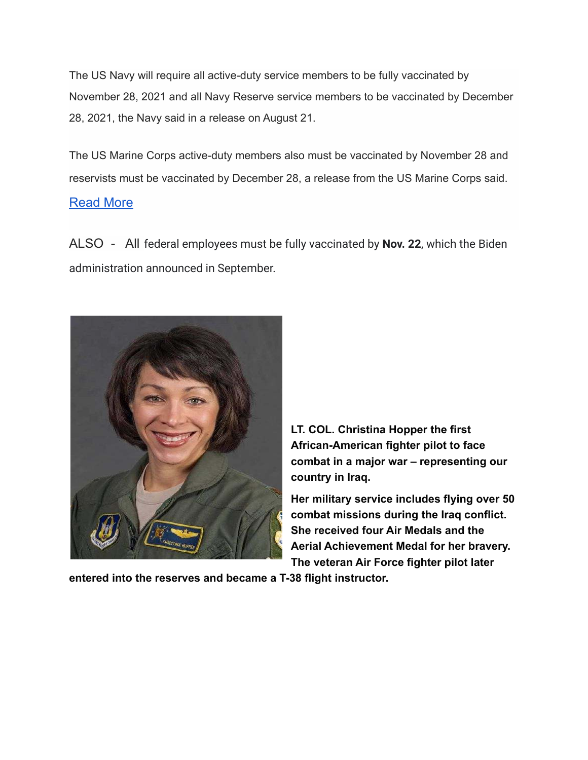The US Navy will require all active-duty service members to be fully vaccinated by November 28, 2021 and all Navy Reserve service members to be vaccinated by December 28, 2021, the Navy said in a release on August 21.

The US Marine Corps active-duty members also must be vaccinated by November 28 and reservists must be vaccinated by December 28, a release from the US Marine Corps said.

#### [Read More](https://www.cnn.com/2021/09/14/politics/us-military-sets-vaccine-dates/index.html)

ALSO - All federal employees must be fully vaccinated by **Nov. 22**, which the Biden administration announced in September.



**LT. COL. Christina Hopper the first African-American fighter pilot to face combat in a major war – representing our country in Iraq.**

**Her military service includes flying over 50 combat missions during the Iraq conflict. She received four Air Medals and the Aerial Achievement Medal for her bravery. The veteran Air Force fighter pilot later**

**entered into the reserves and became a T-38 flight instructor.**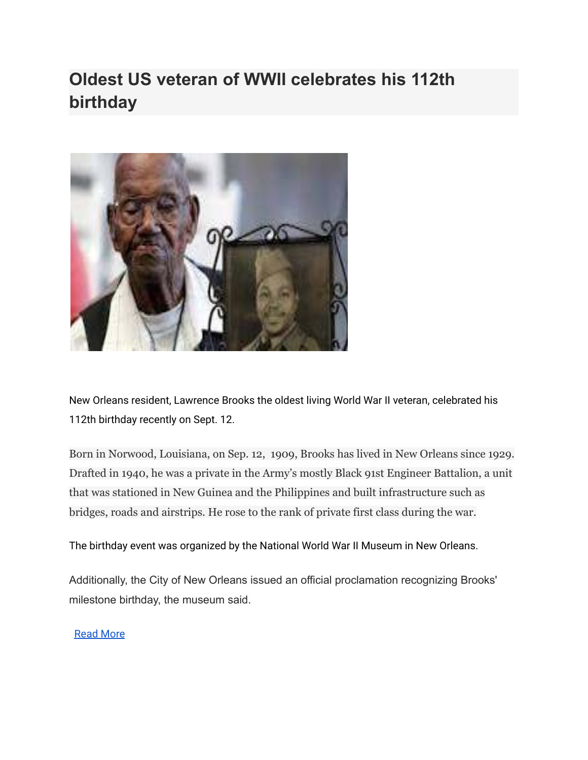### **Oldest US veteran of WWII celebrates his 112th birthday**



New Orleans resident, Lawrence Brooks the oldest living World War II veteran, celebrated his 112th birthday recently on Sept. 12.

Born in Norwood, Louisiana, on Sep. 12, 1909, Brooks has lived in New Orleans since 1929. Drafted in 1940, he was a private in the Army's mostly Black 91st Engineer Battalion, a unit that was stationed in New Guinea and the Philippines and built infrastructure such as bridges, roads and airstrips. He rose to the rank of private first class during the war.

#### The birthday event was organized by the National World War II Museum in New Orleans.

Additionally, the City of New Orleans issued an official proclamation recognizing Brooks' milestone birthday, the museum said.

#### [Read More](https://apnews.com/article/oldest-world-war-ii-veteran-lawrence-brooks-c52e4957963103a906ffcae5519d70b3)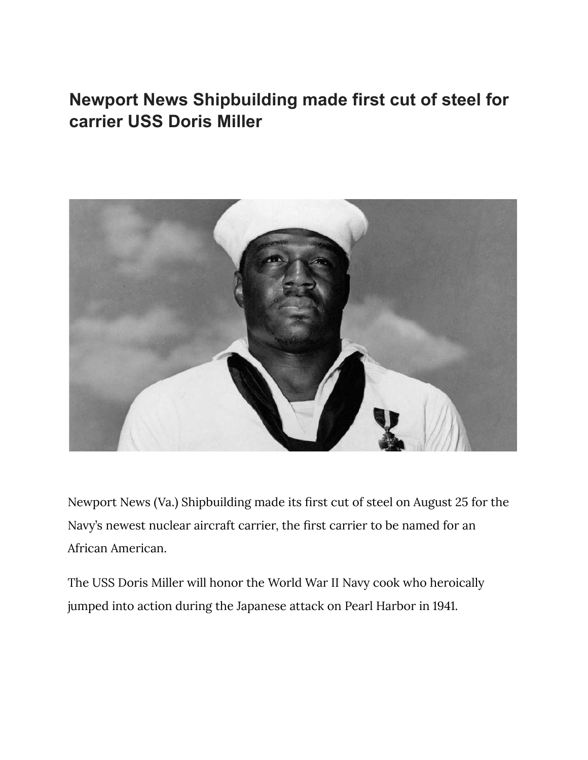### **Newport News Shipbuilding made first cut of steel for carrier USS Doris Miller**



Newport News (Va.) Shipbuilding made its first cut of steel on August 25 for the Navy's newest nuclear aircraft carrier, the first carrier to be named for an African American.

The USS Doris Miller will honor the World War II Navy cook who heroically jumped into action during the Japanese attack on Pearl Harbor in 1941.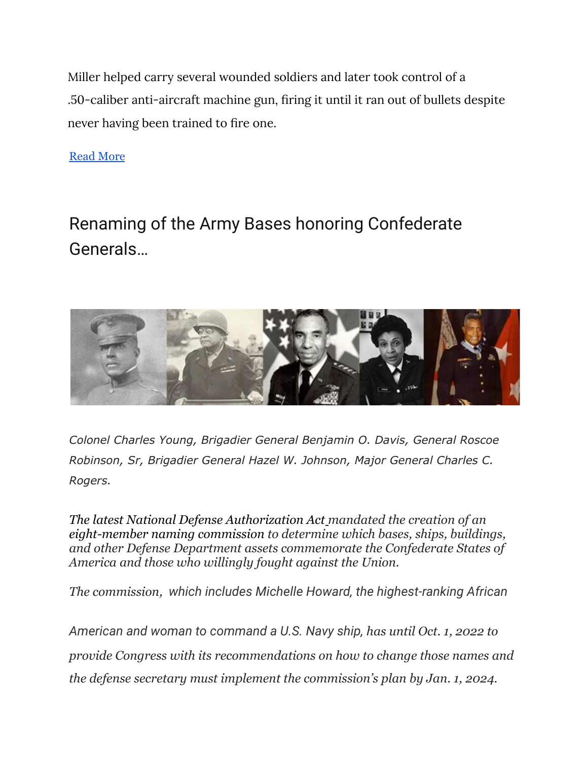Miller helped carry several wounded soldiers and later took control of a .50-caliber anti-aircraft machine gun, firing it until it ran out of bullets despite never having been trained to fire one.

[Read More](https://www.wavy.com/news/local-news/newport-news/newport-news-shipbuilding-to-make-first-cut-of-steel-for-carrier-uss-doris-miller/?nxs_link=big-story_1_title_1&email=4f3afa141c78792485acd330ed82bb27fafe66ab&utm_source=Sailthru&utm_medium=email&utm_campaign=WAVY%20Daily%20News%202021-08-25&utm_term=Daily%20News)

## Renaming of the Army Bases honoring Confederate Generals…



*Colonel Charles Young, Brigadier General Benjamin O. Davis, General Roscoe Robinson, Sr, Brigadier General Hazel W. Johnson, Major General Charles C. Rogers.*

*[The latest National Defense Authorization Act](https://taskandpurpose.com/news/congress-overrides-trumps-veto-of-defense-policy-bill-clearing-the-way-for-troops-to-get-special-pay/) mandated the creation of an [eight-member naming commission](https://taskandpurpose.com/news/congress-military-bases-confederates-names-change/) to determine which bases, ships, buildings, and other Defense Department assets commemorate the Confederate States of America and those who willingly fought against the Union.*

*The commission, which includes Michelle Howard, the highest-ranking African*

*American and woman to command a U.S. Navy ship, has until Oct. 1, 2022 to provide Congress with its recommendations on how to change those names and the defense secretary must implement the commission's plan by Jan. 1, 2024.*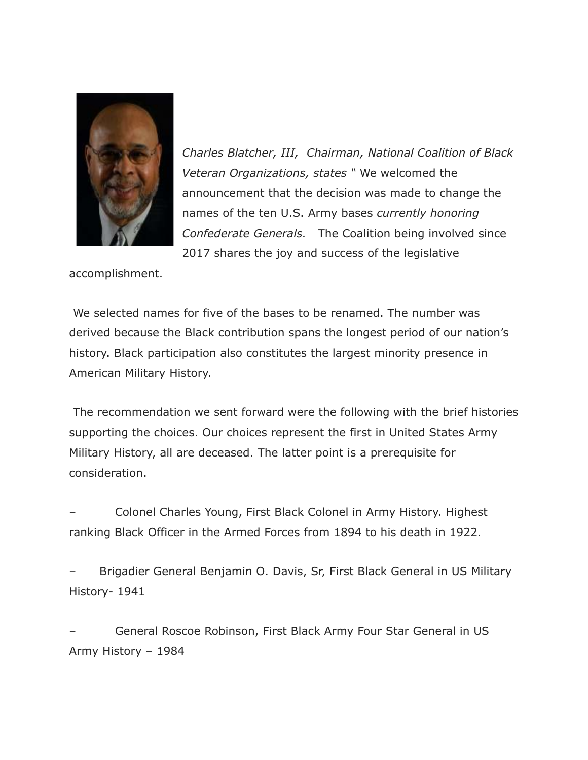

*Charles Blatcher, III, Chairman, National Coalition of Black Veteran Organizations, states "* We welcomed the announcement that the decision was made to change the names of the ten U.S. Army bases *currently honoring Confederate Generals.* The Coalition being involved since 2017 shares the joy and success of the legislative

accomplishment.

We selected names for five of the bases to be renamed. The number was derived because the Black contribution spans the longest period of our nation's history. Black participation also constitutes the largest minority presence in American Military History.

The recommendation we sent forward were the following with the brief histories supporting the choices. Our choices represent the first in United States Army Military History, all are deceased. The latter point is a prerequisite for consideration.

– Colonel Charles Young, First Black Colonel in Army History. Highest ranking Black Officer in the Armed Forces from 1894 to his death in 1922.

– Brigadier General Benjamin O. Davis, Sr, First Black General in US Military History- 1941

– General Roscoe Robinson, First Black Army Four Star General in US Army History – 1984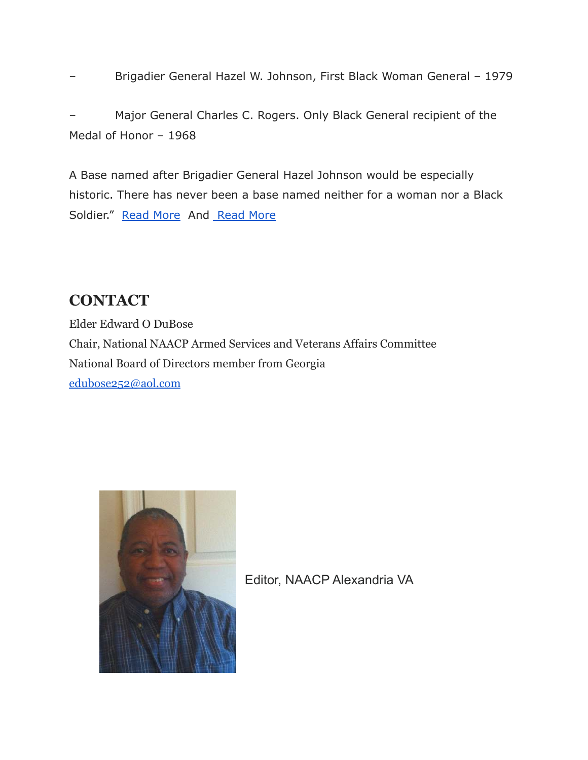– Brigadier General Hazel W. Johnson, First Black Woman General – 1979

– Major General Charles C. Rogers. Only Black General recipient of the Medal of Honor – 1968

A Base named after Brigadier General Hazel Johnson would be especially historic. There has never been a base named neither for a woman nor a Black Soldier." [Read More](https://www.axios.com/commission-renaming-army-bases-makeover-39b8983d-60b8-496b-9e26-78b5de6874bb.html) And Read More

#### **CONTACT**

Elder Edward O DuBose Chair, National NAACP Armed Services and Veterans Affairs Committee National Board of Directors member from Georgia [edubose252@aol.com](mailto:edubose252@aol.com)



Editor, NAACP Alexandria VA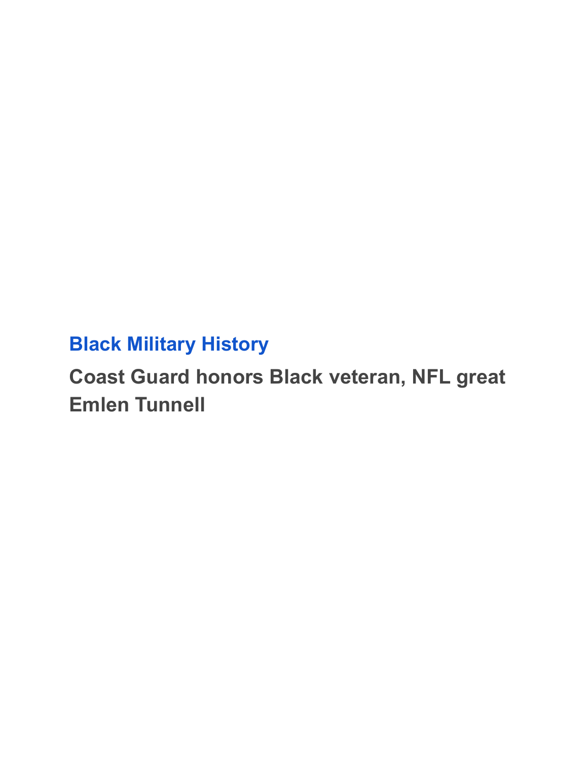## **[Black Military History](http://www.militarytimes.com/military-honor/black-military-history?source=navy-nav/)**

# **Coast Guard honors Black veteran, NFL great Emlen Tunnell**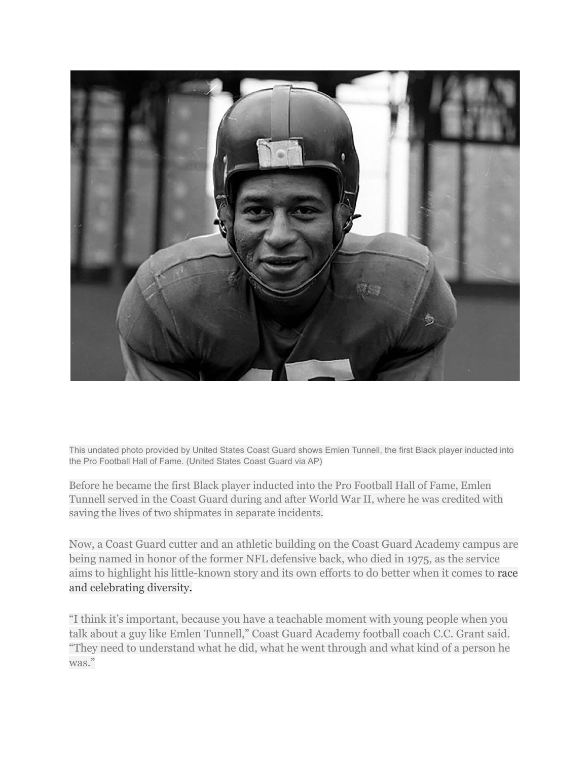

This undated photo provided by United States Coast Guard shows Emlen Tunnell, the first Black player inducted into the Pro Football Hall of Fame. (United States Coast Guard via AP)

Before he became the first Black player inducted into the Pro Football Hall of Fame, Emlen Tunnell served in the Coast Guard during and after World War II, where he was credited with saving the lives of two shipmates in separate incidents.

Now, a Coast Guard cutter and an athletic building on the Coast Guard Academy campus are being named in honor of the former NFL defensive back, who died in 1975, as the service aims to highlight his little-known story and its own efforts to do better when it comes to [race](https://www.navytimes.com/news/your-navy/2018/12/06/coast-guard-pioneer-race-riot-survivor-laid-to-rest/) [and celebrating diversity](https://www.navytimes.com/news/your-navy/2018/12/06/coast-guard-pioneer-race-riot-survivor-laid-to-rest/).

"I think it's important, because you have a teachable moment with young people when you talk about a guy like Emlen Tunnell," Coast Guard Academy football coach C.C. Grant said. "They need to understand what he did, what he went through and what kind of a person he was."